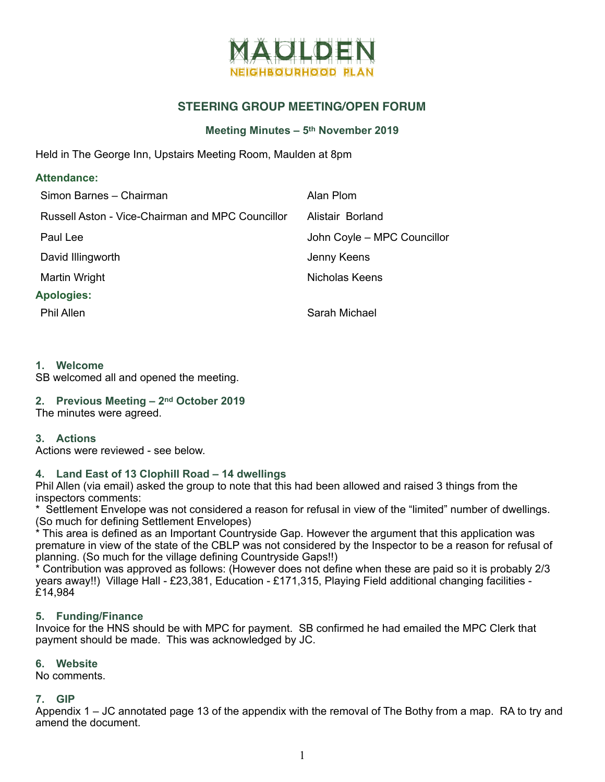

# **STEERING GROUP MEETING/OPEN FORUM**

#### **Meeting Minutes – 5th November 2019**

Held in The George Inn, Upstairs Meeting Room, Maulden at 8pm

| <b>Attendance:</b>                               |                             |  |  |  |
|--------------------------------------------------|-----------------------------|--|--|--|
| Simon Barnes - Chairman                          | Alan Plom                   |  |  |  |
| Russell Aston - Vice-Chairman and MPC Councillor | Alistair Borland            |  |  |  |
| Paul Lee                                         | John Coyle - MPC Councillor |  |  |  |
| David Illingworth                                | Jenny Keens                 |  |  |  |
| Martin Wright                                    | Nicholas Keens              |  |  |  |
| <b>Apologies:</b>                                |                             |  |  |  |
| <b>Phil Allen</b>                                | Sarah Michael               |  |  |  |

#### **1. Welcome**

SB welcomed all and opened the meeting.

## **2. Previous Meeting – 2nd October 2019**

The minutes were agreed.

#### **3. Actions**

Actions were reviewed - see below.

#### **4. Land East of 13 Clophill Road – 14 dwellings**

Phil Allen (via email) asked the group to note that this had been allowed and raised 3 things from the inspectors comments:

\* Settlement Envelope was not considered a reason for refusal in view of the "limited" number of dwellings. (So much for defining Settlement Envelopes)

This area is defined as an Important Countryside Gap. However the argument that this application was premature in view of the state of the CBLP was not considered by the Inspector to be a reason for refusal of planning. (So much for the village defining Countryside Gaps!!)

\* Contribution was approved as follows: (However does not define when these are paid so it is probably 2/3 years away!!) Village Hall - £23,381, Education - £171,315, Playing Field additional changing facilities - £14,984

#### **5. Funding/Finance**

Invoice for the HNS should be with MPC for payment. SB confirmed he had emailed the MPC Clerk that payment should be made. This was acknowledged by JC.

#### **6. Website**

No comments.

#### **7. GIP**

Appendix 1 – JC annotated page 13 of the appendix with the removal of The Bothy from a map. RA to try and amend the document.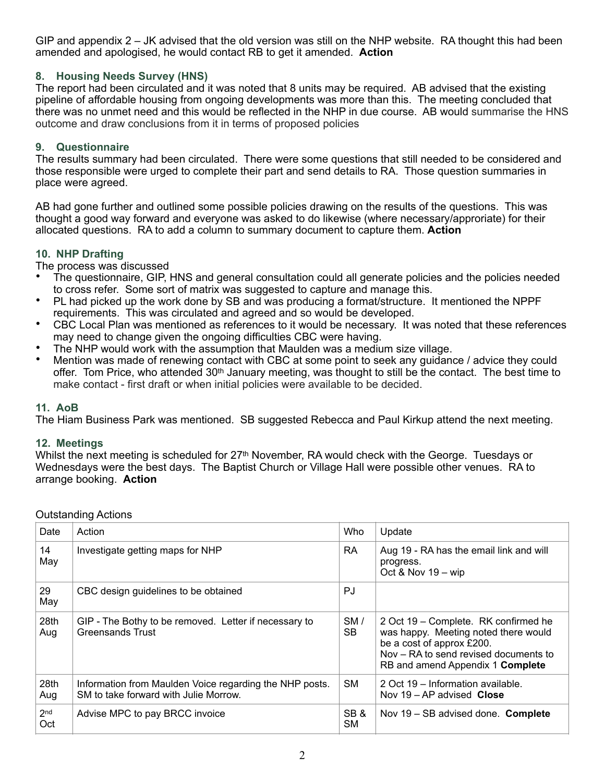GIP and appendix 2 – JK advised that the old version was still on the NHP website. RA thought this had been amended and apologised, he would contact RB to get it amended. **Action**

## **8. Housing Needs Survey (HNS)**

The report had been circulated and it was noted that 8 units may be required. AB advised that the existing pipeline of affordable housing from ongoing developments was more than this. The meeting concluded that there was no unmet need and this would be reflected in the NHP in due course. AB would summarise the HNS outcome and draw conclusions from it in terms of proposed policies

## **9. Questionnaire**

The results summary had been circulated. There were some questions that still needed to be considered and those responsible were urged to complete their part and send details to RA. Those question summaries in place were agreed.

AB had gone further and outlined some possible policies drawing on the results of the questions. This was thought a good way forward and everyone was asked to do likewise (where necessary/approriate) for their allocated questions. RA to add a column to summary document to capture them. **Action** 

## **10. NHP Drafting**

The process was discussed

- The questionnaire, GIP, HNS and general consultation could all generate policies and the policies needed to cross refer. Some sort of matrix was suggested to capture and manage this.
- PL had picked up the work done by SB and was producing a format/structure. It mentioned the NPPF requirements. This was circulated and agreed and so would be developed.
- CBC Local Plan was mentioned as references to it would be necessary. It was noted that these references may need to change given the ongoing difficulties CBC were having.
- The NHP would work with the assumption that Maulden was a medium size village.
- Mention was made of renewing contact with CBC at some point to seek any guidance / advice they could offer. Tom Price, who attended 30<sup>th</sup> January meeting, was thought to still be the contact. The best time to make contact - first draft or when initial policies were available to be decided.

## **11. AoB**

The Hiam Business Park was mentioned. SB suggested Rebecca and Paul Kirkup attend the next meeting.

#### **12. Meetings**

Whilst the next meeting is scheduled for 27<sup>th</sup> November, RA would check with the George. Tuesdays or Wednesdays were the best days. The Baptist Church or Village Hall were possible other venues. RA to arrange booking. **Action** 

| Date                   | Action                                                                                           | Who        | Update                                                                                                                                                                                 |
|------------------------|--------------------------------------------------------------------------------------------------|------------|----------------------------------------------------------------------------------------------------------------------------------------------------------------------------------------|
| 14<br>May              | Investigate getting maps for NHP                                                                 | RA         | Aug 19 - RA has the email link and will<br>progress.<br>Oct & Nov $19 -$ wip                                                                                                           |
| 29<br>May              | CBC design guidelines to be obtained                                                             | PJ         |                                                                                                                                                                                        |
| 28th<br>Aug            | GIP - The Bothy to be removed. Letter if necessary to<br><b>Greensands Trust</b>                 | SM/<br>SB. | 2 Oct 19 – Complete. RK confirmed he<br>was happy. Meeting noted there would<br>be a cost of approx £200.<br>Nov – RA to send revised documents to<br>RB and amend Appendix 1 Complete |
| 28th<br>Aug            | Information from Maulden Voice regarding the NHP posts.<br>SM to take forward with Julie Morrow. | <b>SM</b>  | 2 Oct 19 – Information available.<br>Nov $19 - AP$ advised Close                                                                                                                       |
| 2 <sub>nd</sub><br>Oct | Advise MPC to pay BRCC invoice                                                                   | SB&<br>SM. | Nov 19 - SB advised done. Complete                                                                                                                                                     |

Outstanding Actions